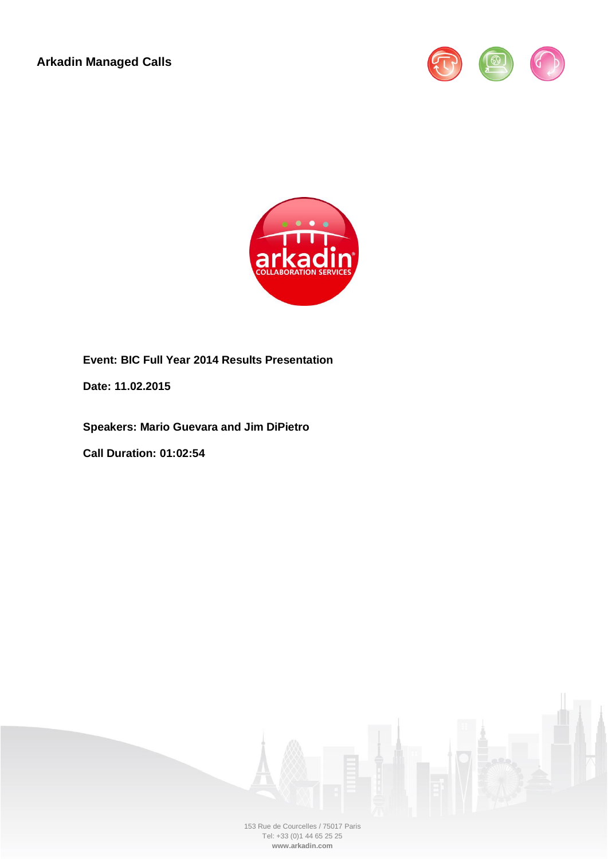**Arkadin Managed Calls**





**Event: BIC Full Year 2014 Results Presentation**

**Date: 11.02.2015**

**Speakers: Mario Guevara and Jim DiPietro**

**Call Duration: 01:02:54**



153 Rue de Courcelles / 75017 Paris Tel: +33 (0)1 44 65 25 25 **www.arkadin.com**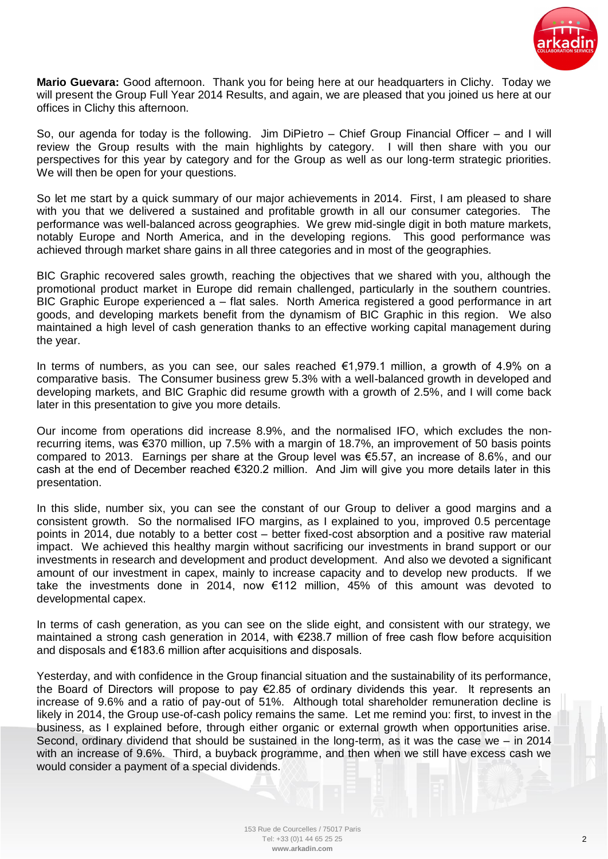

**Mario Guevara:** Good afternoon. Thank you for being here at our headquarters in Clichy. Today we will present the Group Full Year 2014 Results, and again, we are pleased that you joined us here at our offices in Clichy this afternoon.

So, our agenda for today is the following. Jim DiPietro – Chief Group Financial Officer – and I will review the Group results with the main highlights by category. I will then share with you our perspectives for this year by category and for the Group as well as our long-term strategic priorities. We will then be open for your questions.

So let me start by a quick summary of our major achievements in 2014. First, I am pleased to share with you that we delivered a sustained and profitable growth in all our consumer categories. The performance was well-balanced across geographies. We grew mid-single digit in both mature markets, notably Europe and North America, and in the developing regions. This good performance was achieved through market share gains in all three categories and in most of the geographies.

BIC Graphic recovered sales growth, reaching the objectives that we shared with you, although the promotional product market in Europe did remain challenged, particularly in the southern countries. BIC Graphic Europe experienced a – flat sales. North America registered a good performance in art goods, and developing markets benefit from the dynamism of BIC Graphic in this region. We also maintained a high level of cash generation thanks to an effective working capital management during the year.

In terms of numbers, as you can see, our sales reached €1,979.1 million, a growth of 4.9% on a comparative basis. The Consumer business grew 5.3% with a well-balanced growth in developed and developing markets, and BIC Graphic did resume growth with a growth of 2.5%, and I will come back later in this presentation to give you more details.

Our income from operations did increase 8.9%, and the normalised IFO, which excludes the nonrecurring items, was €370 million, up 7.5% with a margin of 18.7%, an improvement of 50 basis points compared to 2013. Earnings per share at the Group level was €5.57, an increase of 8.6%, and our cash at the end of December reached €320.2 million. And Jim will give you more details later in this presentation.

In this slide, number six, you can see the constant of our Group to deliver a good margins and a consistent growth. So the normalised IFO margins, as I explained to you, improved 0.5 percentage points in 2014, due notably to a better cost – better fixed-cost absorption and a positive raw material impact. We achieved this healthy margin without sacrificing our investments in brand support or our investments in research and development and product development. And also we devoted a significant amount of our investment in capex, mainly to increase capacity and to develop new products. If we take the investments done in 2014, now €112 million, 45% of this amount was devoted to developmental capex.

In terms of cash generation, as you can see on the slide eight, and consistent with our strategy, we maintained a strong cash generation in 2014, with €238.7 million of free cash flow before acquisition and disposals and €183.6 million after acquisitions and disposals.

Yesterday, and with confidence in the Group financial situation and the sustainability of its performance, the Board of Directors will propose to pay €2.85 of ordinary dividends this year. It represents an increase of 9.6% and a ratio of pay-out of 51%. Although total shareholder remuneration decline is likely in 2014, the Group use-of-cash policy remains the same. Let me remind you: first, to invest in the business, as I explained before, through either organic or external growth when opportunities arise. Second, ordinary dividend that should be sustained in the long-term, as it was the case we – in 2014 with an increase of 9.6%. Third, a buyback programme, and then when we still have excess cash we would consider a payment of a special dividends.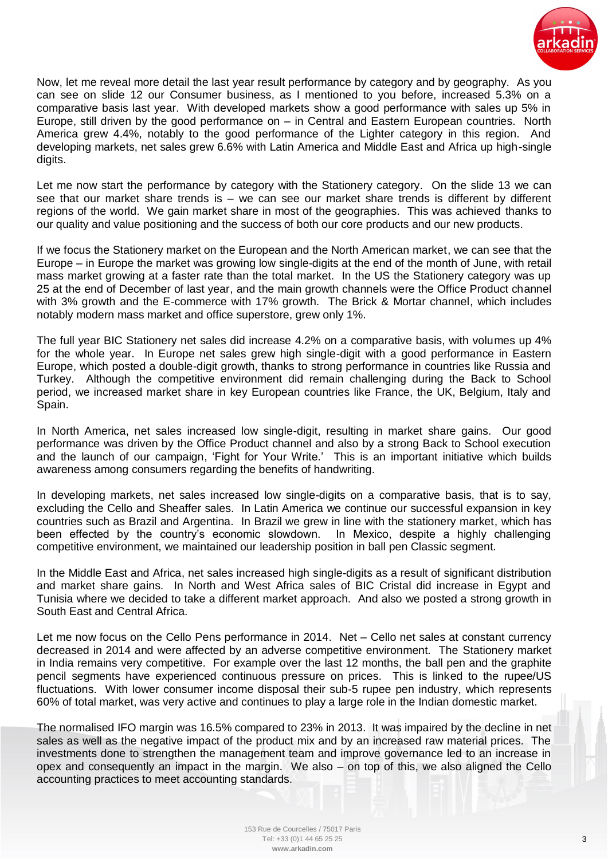

Now, let me reveal more detail the last year result performance by category and by geography. As you can see on slide 12 our Consumer business, as I mentioned to you before, increased 5.3% on a comparative basis last year. With developed markets show a good performance with sales up 5% in Europe, still driven by the good performance on – in Central and Eastern European countries. North America grew 4.4%, notably to the good performance of the Lighter category in this region. And developing markets, net sales grew 6.6% with Latin America and Middle East and Africa up high-single digits.

Let me now start the performance by category with the Stationery category. On the slide 13 we can see that our market share trends is – we can see our market share trends is different by different regions of the world. We gain market share in most of the geographies. This was achieved thanks to our quality and value positioning and the success of both our core products and our new products.

If we focus the Stationery market on the European and the North American market, we can see that the Europe – in Europe the market was growing low single-digits at the end of the month of June, with retail mass market growing at a faster rate than the total market. In the US the Stationery category was up 25 at the end of December of last year, and the main growth channels were the Office Product channel with 3% growth and the E-commerce with 17% growth. The Brick & Mortar channel, which includes notably modern mass market and office superstore, grew only 1%.

The full year BIC Stationery net sales did increase 4.2% on a comparative basis, with volumes up 4% for the whole year. In Europe net sales grew high single-digit with a good performance in Eastern Europe, which posted a double-digit growth, thanks to strong performance in countries like Russia and Turkey. Although the competitive environment did remain challenging during the Back to School period, we increased market share in key European countries like France, the UK, Belgium, Italy and Spain.

In North America, net sales increased low single-digit, resulting in market share gains. Our good performance was driven by the Office Product channel and also by a strong Back to School execution and the launch of our campaign, 'Fight for Your Write.' This is an important initiative which builds awareness among consumers regarding the benefits of handwriting.

In developing markets, net sales increased low single-digits on a comparative basis, that is to say, excluding the Cello and Sheaffer sales. In Latin America we continue our successful expansion in key countries such as Brazil and Argentina. In Brazil we grew in line with the stationery market, which has been effected by the country's economic slowdown. In Mexico, despite a highly challenging competitive environment, we maintained our leadership position in ball pen Classic segment.

In the Middle East and Africa, net sales increased high single-digits as a result of significant distribution and market share gains. In North and West Africa sales of BIC Cristal did increase in Egypt and Tunisia where we decided to take a different market approach. And also we posted a strong growth in South East and Central Africa.

Let me now focus on the Cello Pens performance in 2014. Net – Cello net sales at constant currency decreased in 2014 and were affected by an adverse competitive environment. The Stationery market in India remains very competitive. For example over the last 12 months, the ball pen and the graphite pencil segments have experienced continuous pressure on prices. This is linked to the rupee/US fluctuations. With lower consumer income disposal their sub-5 rupee pen industry, which represents 60% of total market, was very active and continues to play a large role in the Indian domestic market.

The normalised IFO margin was 16.5% compared to 23% in 2013. It was impaired by the decline in net sales as well as the negative impact of the product mix and by an increased raw material prices. The investments done to strengthen the management team and improve governance led to an increase in opex and consequently an impact in the margin. We also – on top of this, we also aligned the Cello accounting practices to meet accounting standards.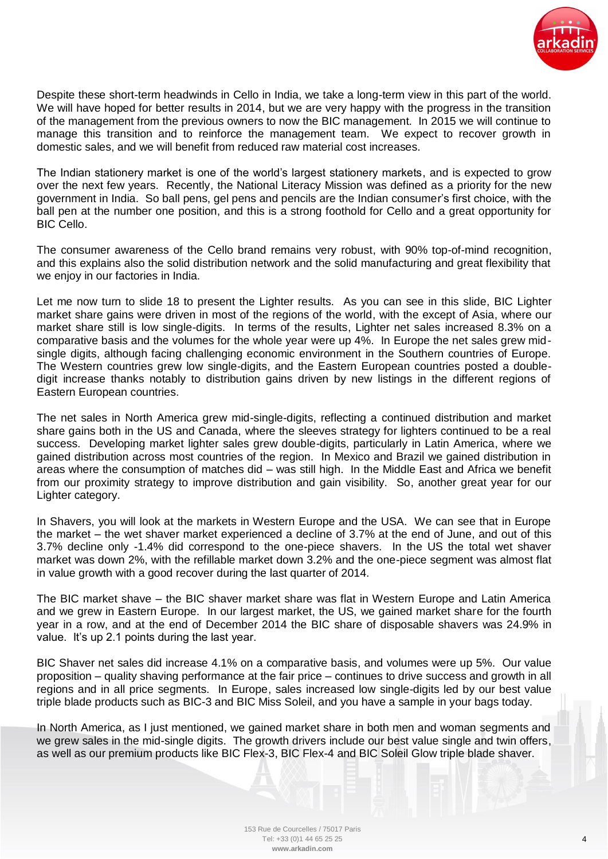

Despite these short-term headwinds in Cello in India, we take a long-term view in this part of the world. We will have hoped for better results in 2014, but we are very happy with the progress in the transition of the management from the previous owners to now the BIC management. In 2015 we will continue to manage this transition and to reinforce the management team. We expect to recover growth in domestic sales, and we will benefit from reduced raw material cost increases.

The Indian stationery market is one of the world's largest stationery markets, and is expected to grow over the next few years. Recently, the National Literacy Mission was defined as a priority for the new government in India. So ball pens, gel pens and pencils are the Indian consumer's first choice, with the ball pen at the number one position, and this is a strong foothold for Cello and a great opportunity for BIC Cello.

The consumer awareness of the Cello brand remains very robust, with 90% top-of-mind recognition, and this explains also the solid distribution network and the solid manufacturing and great flexibility that we enjoy in our factories in India.

Let me now turn to slide 18 to present the Lighter results. As you can see in this slide, BIC Lighter market share gains were driven in most of the regions of the world, with the except of Asia, where our market share still is low single-digits. In terms of the results, Lighter net sales increased 8.3% on a comparative basis and the volumes for the whole year were up 4%. In Europe the net sales grew midsingle digits, although facing challenging economic environment in the Southern countries of Europe. The Western countries grew low single-digits, and the Eastern European countries posted a doubledigit increase thanks notably to distribution gains driven by new listings in the different regions of Eastern European countries.

The net sales in North America grew mid-single-digits, reflecting a continued distribution and market share gains both in the US and Canada, where the sleeves strategy for lighters continued to be a real success. Developing market lighter sales grew double-digits, particularly in Latin America, where we gained distribution across most countries of the region. In Mexico and Brazil we gained distribution in areas where the consumption of matches did – was still high. In the Middle East and Africa we benefit from our proximity strategy to improve distribution and gain visibility. So, another great year for our Lighter category.

In Shavers, you will look at the markets in Western Europe and the USA. We can see that in Europe the market – the wet shaver market experienced a decline of 3.7% at the end of June, and out of this 3.7% decline only -1.4% did correspond to the one-piece shavers. In the US the total wet shaver market was down 2%, with the refillable market down 3.2% and the one-piece segment was almost flat in value growth with a good recover during the last quarter of 2014.

The BIC market shave – the BIC shaver market share was flat in Western Europe and Latin America and we grew in Eastern Europe. In our largest market, the US, we gained market share for the fourth year in a row, and at the end of December 2014 the BIC share of disposable shavers was 24.9% in value. It's up 2.1 points during the last year.

BIC Shaver net sales did increase 4.1% on a comparative basis, and volumes were up 5%. Our value proposition – quality shaving performance at the fair price – continues to drive success and growth in all regions and in all price segments. In Europe, sales increased low single-digits led by our best value triple blade products such as BIC-3 and BIC Miss Soleil, and you have a sample in your bags today.

In North America, as I just mentioned, we gained market share in both men and woman segments and we grew sales in the mid-single digits. The growth drivers include our best value single and twin offers, as well as our premium products like BIC Flex-3, BIC Flex-4 and BIC Soleil Glow triple blade shaver.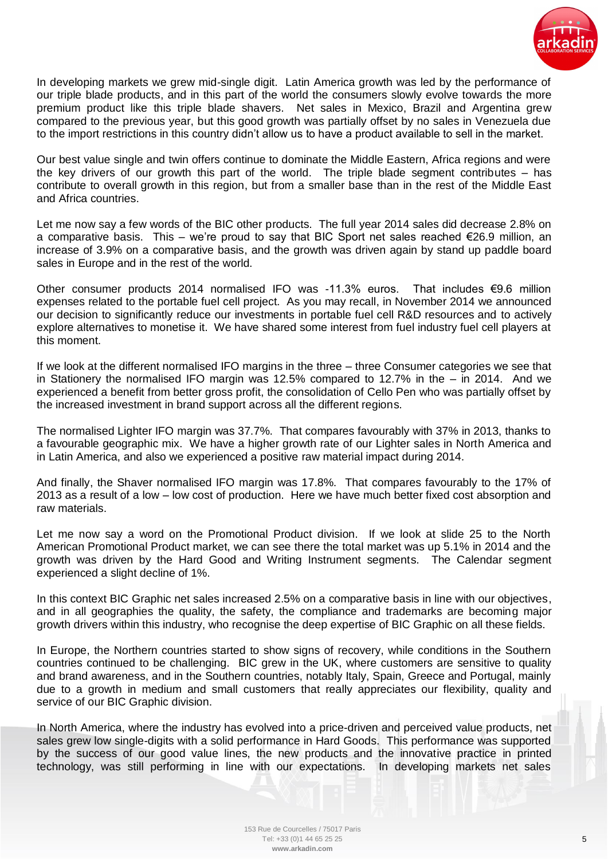

In developing markets we grew mid-single digit. Latin America growth was led by the performance of our triple blade products, and in this part of the world the consumers slowly evolve towards the more premium product like this triple blade shavers. Net sales in Mexico, Brazil and Argentina grew compared to the previous year, but this good growth was partially offset by no sales in Venezuela due to the import restrictions in this country didn't allow us to have a product available to sell in the market.

Our best value single and twin offers continue to dominate the Middle Eastern, Africa regions and were the key drivers of our growth this part of the world. The triple blade segment contributes – has contribute to overall growth in this region, but from a smaller base than in the rest of the Middle East and Africa countries.

Let me now say a few words of the BIC other products. The full year 2014 sales did decrease 2.8% on a comparative basis. This – we're proud to say that BIC Sport net sales reached  $\epsilon$ 26.9 million, an increase of 3.9% on a comparative basis, and the growth was driven again by stand up paddle board sales in Europe and in the rest of the world.

Other consumer products 2014 normalised IFO was -11.3% euros. That includes €9.6 million expenses related to the portable fuel cell project. As you may recall, in November 2014 we announced our decision to significantly reduce our investments in portable fuel cell R&D resources and to actively explore alternatives to monetise it. We have shared some interest from fuel industry fuel cell players at this moment.

If we look at the different normalised IFO margins in the three – three Consumer categories we see that in Stationery the normalised IFO margin was 12.5% compared to 12.7% in the – in 2014. And we experienced a benefit from better gross profit, the consolidation of Cello Pen who was partially offset by the increased investment in brand support across all the different regions.

The normalised Lighter IFO margin was 37.7%. That compares favourably with 37% in 2013, thanks to a favourable geographic mix. We have a higher growth rate of our Lighter sales in North America and in Latin America, and also we experienced a positive raw material impact during 2014.

And finally, the Shaver normalised IFO margin was 17.8%. That compares favourably to the 17% of 2013 as a result of a low – low cost of production. Here we have much better fixed cost absorption and raw materials.

Let me now say a word on the Promotional Product division. If we look at slide 25 to the North American Promotional Product market, we can see there the total market was up 5.1% in 2014 and the growth was driven by the Hard Good and Writing Instrument segments. The Calendar segment experienced a slight decline of 1%.

In this context BIC Graphic net sales increased 2.5% on a comparative basis in line with our objectives, and in all geographies the quality, the safety, the compliance and trademarks are becoming major growth drivers within this industry, who recognise the deep expertise of BIC Graphic on all these fields.

In Europe, the Northern countries started to show signs of recovery, while conditions in the Southern countries continued to be challenging. BIC grew in the UK, where customers are sensitive to quality and brand awareness, and in the Southern countries, notably Italy, Spain, Greece and Portugal, mainly due to a growth in medium and small customers that really appreciates our flexibility, quality and service of our BIC Graphic division.

In North America, where the industry has evolved into a price-driven and perceived value products, net sales grew low single-digits with a solid performance in Hard Goods. This performance was supported by the success of our good value lines, the new products and the innovative practice in printed technology, was still performing in line with our expectations. In developing markets net sales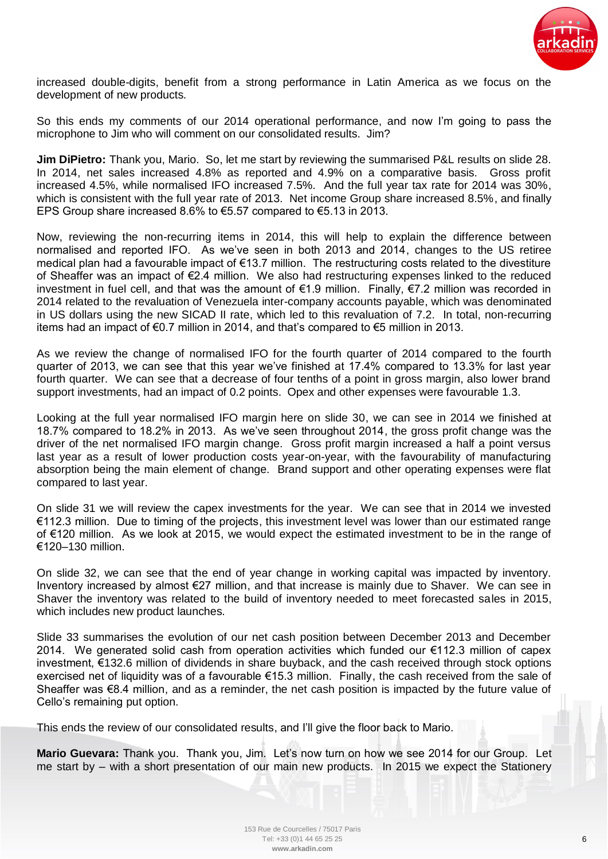

increased double-digits, benefit from a strong performance in Latin America as we focus on the development of new products.

So this ends my comments of our 2014 operational performance, and now I'm going to pass the microphone to Jim who will comment on our consolidated results. Jim?

**Jim DiPietro:** Thank you, Mario. So, let me start by reviewing the summarised P&L results on slide 28. In 2014, net sales increased 4.8% as reported and 4.9% on a comparative basis. Gross profit increased 4.5%, while normalised IFO increased 7.5%. And the full year tax rate for 2014 was 30%, which is consistent with the full year rate of 2013. Net income Group share increased 8.5%, and finally EPS Group share increased 8.6% to €5.57 compared to €5.13 in 2013.

Now, reviewing the non-recurring items in 2014, this will help to explain the difference between normalised and reported IFO. As we've seen in both 2013 and 2014, changes to the US retiree medical plan had a favourable impact of €13.7 million. The restructuring costs related to the divestiture of Sheaffer was an impact of €2.4 million. We also had restructuring expenses linked to the reduced investment in fuel cell, and that was the amount of €1.9 million. Finally, €7.2 million was recorded in 2014 related to the revaluation of Venezuela inter-company accounts payable, which was denominated in US dollars using the new SICAD II rate, which led to this revaluation of 7.2. In total, non-recurring items had an impact of €0.7 million in 2014, and that's compared to €5 million in 2013.

As we review the change of normalised IFO for the fourth quarter of 2014 compared to the fourth quarter of 2013, we can see that this year we've finished at 17.4% compared to 13.3% for last year fourth quarter. We can see that a decrease of four tenths of a point in gross margin, also lower brand support investments, had an impact of 0.2 points. Opex and other expenses were favourable 1.3.

Looking at the full year normalised IFO margin here on slide 30, we can see in 2014 we finished at 18.7% compared to 18.2% in 2013. As we've seen throughout 2014, the gross profit change was the driver of the net normalised IFO margin change. Gross profit margin increased a half a point versus last year as a result of lower production costs year-on-year, with the favourability of manufacturing absorption being the main element of change. Brand support and other operating expenses were flat compared to last year.

On slide 31 we will review the capex investments for the year. We can see that in 2014 we invested €112.3 million. Due to timing of the projects, this investment level was lower than our estimated range of €120 million. As we look at 2015, we would expect the estimated investment to be in the range of €120–130 million.

On slide 32, we can see that the end of year change in working capital was impacted by inventory. Inventory increased by almost €27 million, and that increase is mainly due to Shaver. We can see in Shaver the inventory was related to the build of inventory needed to meet forecasted sales in 2015, which includes new product launches.

Slide 33 summarises the evolution of our net cash position between December 2013 and December 2014. We generated solid cash from operation activities which funded our €112.3 million of capex investment, €132.6 million of dividends in share buyback, and the cash received through stock options exercised net of liquidity was of a favourable €15.3 million. Finally, the cash received from the sale of Sheaffer was €8.4 million, and as a reminder, the net cash position is impacted by the future value of Cello's remaining put option.

This ends the review of our consolidated results, and I'll give the floor back to Mario.

**Mario Guevara:** Thank you. Thank you, Jim. Let's now turn on how we see 2014 for our Group. Let me start by – with a short presentation of our main new products. In 2015 we expect the Stationery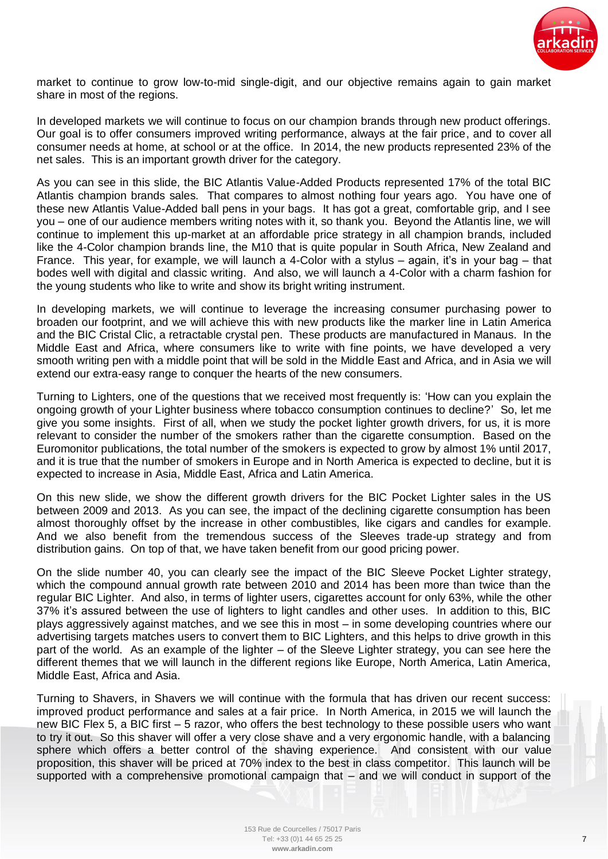

market to continue to grow low-to-mid single-digit, and our objective remains again to gain market share in most of the regions.

In developed markets we will continue to focus on our champion brands through new product offerings. Our goal is to offer consumers improved writing performance, always at the fair price, and to cover all consumer needs at home, at school or at the office. In 2014, the new products represented 23% of the net sales. This is an important growth driver for the category.

As you can see in this slide, the BIC Atlantis Value-Added Products represented 17% of the total BIC Atlantis champion brands sales. That compares to almost nothing four years ago. You have one of these new Atlantis Value-Added ball pens in your bags. It has got a great, comfortable grip, and I see you – one of our audience members writing notes with it, so thank you. Beyond the Atlantis line, we will continue to implement this up-market at an affordable price strategy in all champion brands, included like the 4-Color champion brands line, the M10 that is quite popular in South Africa, New Zealand and France. This year, for example, we will launch a 4-Color with a stylus – again, it's in your bag – that bodes well with digital and classic writing. And also, we will launch a 4-Color with a charm fashion for the young students who like to write and show its bright writing instrument.

In developing markets, we will continue to leverage the increasing consumer purchasing power to broaden our footprint, and we will achieve this with new products like the marker line in Latin America and the BIC Cristal Clic, a retractable crystal pen. These products are manufactured in Manaus. In the Middle East and Africa, where consumers like to write with fine points, we have developed a very smooth writing pen with a middle point that will be sold in the Middle East and Africa, and in Asia we will extend our extra-easy range to conquer the hearts of the new consumers.

Turning to Lighters, one of the questions that we received most frequently is: 'How can you explain the ongoing growth of your Lighter business where tobacco consumption continues to decline?' So, let me give you some insights. First of all, when we study the pocket lighter growth drivers, for us, it is more relevant to consider the number of the smokers rather than the cigarette consumption. Based on the Euromonitor publications, the total number of the smokers is expected to grow by almost 1% until 2017, and it is true that the number of smokers in Europe and in North America is expected to decline, but it is expected to increase in Asia, Middle East, Africa and Latin America.

On this new slide, we show the different growth drivers for the BIC Pocket Lighter sales in the US between 2009 and 2013. As you can see, the impact of the declining cigarette consumption has been almost thoroughly offset by the increase in other combustibles, like cigars and candles for example. And we also benefit from the tremendous success of the Sleeves trade-up strategy and from distribution gains. On top of that, we have taken benefit from our good pricing power.

On the slide number 40, you can clearly see the impact of the BIC Sleeve Pocket Lighter strategy, which the compound annual growth rate between 2010 and 2014 has been more than twice than the regular BIC Lighter. And also, in terms of lighter users, cigarettes account for only 63%, while the other 37% it's assured between the use of lighters to light candles and other uses. In addition to this, BIC plays aggressively against matches, and we see this in most – in some developing countries where our advertising targets matches users to convert them to BIC Lighters, and this helps to drive growth in this part of the world. As an example of the lighter – of the Sleeve Lighter strategy, you can see here the different themes that we will launch in the different regions like Europe, North America, Latin America, Middle East, Africa and Asia.

Turning to Shavers, in Shavers we will continue with the formula that has driven our recent success: improved product performance and sales at a fair price. In North America, in 2015 we will launch the new BIC Flex 5, a BIC first – 5 razor, who offers the best technology to these possible users who want to try it out. So this shaver will offer a very close shave and a very ergonomic handle, with a balancing sphere which offers a better control of the shaving experience. And consistent with our value proposition, this shaver will be priced at 70% index to the best in class competitor. This launch will be supported with a comprehensive promotional campaign that – and we will conduct in support of the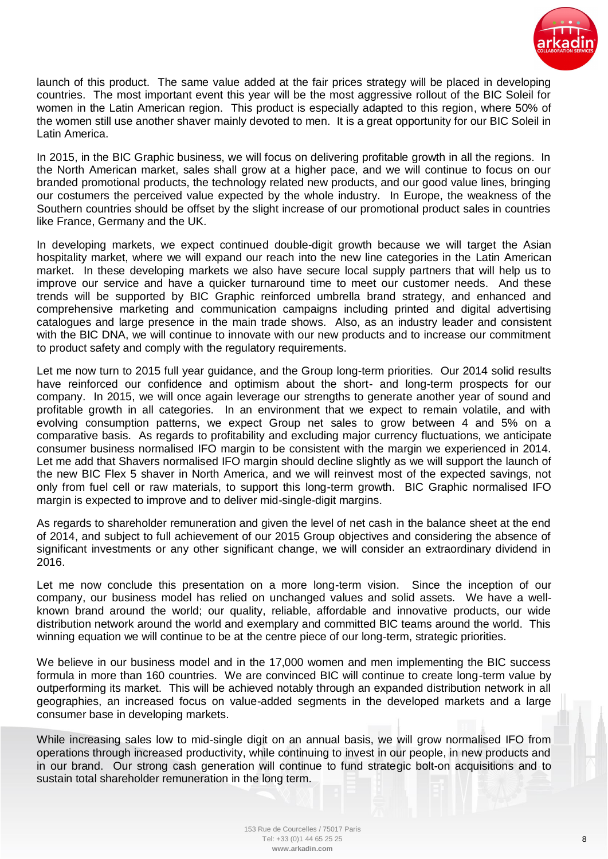

launch of this product. The same value added at the fair prices strategy will be placed in developing countries. The most important event this year will be the most aggressive rollout of the BIC Soleil for women in the Latin American region. This product is especially adapted to this region, where 50% of the women still use another shaver mainly devoted to men. It is a great opportunity for our BIC Soleil in Latin America.

In 2015, in the BIC Graphic business, we will focus on delivering profitable growth in all the regions. In the North American market, sales shall grow at a higher pace, and we will continue to focus on our branded promotional products, the technology related new products, and our good value lines, bringing our costumers the perceived value expected by the whole industry. In Europe, the weakness of the Southern countries should be offset by the slight increase of our promotional product sales in countries like France, Germany and the UK.

In developing markets, we expect continued double-digit growth because we will target the Asian hospitality market, where we will expand our reach into the new line categories in the Latin American market. In these developing markets we also have secure local supply partners that will help us to improve our service and have a quicker turnaround time to meet our customer needs. And these trends will be supported by BIC Graphic reinforced umbrella brand strategy, and enhanced and comprehensive marketing and communication campaigns including printed and digital advertising catalogues and large presence in the main trade shows. Also, as an industry leader and consistent with the BIC DNA, we will continue to innovate with our new products and to increase our commitment to product safety and comply with the regulatory requirements.

Let me now turn to 2015 full year guidance, and the Group long-term priorities. Our 2014 solid results have reinforced our confidence and optimism about the short- and long-term prospects for our company. In 2015, we will once again leverage our strengths to generate another year of sound and profitable growth in all categories. In an environment that we expect to remain volatile, and with evolving consumption patterns, we expect Group net sales to grow between 4 and 5% on a comparative basis. As regards to profitability and excluding major currency fluctuations, we anticipate consumer business normalised IFO margin to be consistent with the margin we experienced in 2014. Let me add that Shavers normalised IFO margin should decline slightly as we will support the launch of the new BIC Flex 5 shaver in North America, and we will reinvest most of the expected savings, not only from fuel cell or raw materials, to support this long-term growth. BIC Graphic normalised IFO margin is expected to improve and to deliver mid-single-digit margins.

As regards to shareholder remuneration and given the level of net cash in the balance sheet at the end of 2014, and subject to full achievement of our 2015 Group objectives and considering the absence of significant investments or any other significant change, we will consider an extraordinary dividend in 2016.

Let me now conclude this presentation on a more long-term vision. Since the inception of our company, our business model has relied on unchanged values and solid assets. We have a wellknown brand around the world; our quality, reliable, affordable and innovative products, our wide distribution network around the world and exemplary and committed BIC teams around the world. This winning equation we will continue to be at the centre piece of our long-term, strategic priorities.

We believe in our business model and in the 17,000 women and men implementing the BIC success formula in more than 160 countries. We are convinced BIC will continue to create long-term value by outperforming its market. This will be achieved notably through an expanded distribution network in all geographies, an increased focus on value-added segments in the developed markets and a large consumer base in developing markets.

While increasing sales low to mid-single digit on an annual basis, we will grow normalised IFO from operations through increased productivity, while continuing to invest in our people, in new products and in our brand. Our strong cash generation will continue to fund strategic bolt-on acquisitions and to sustain total shareholder remuneration in the long term.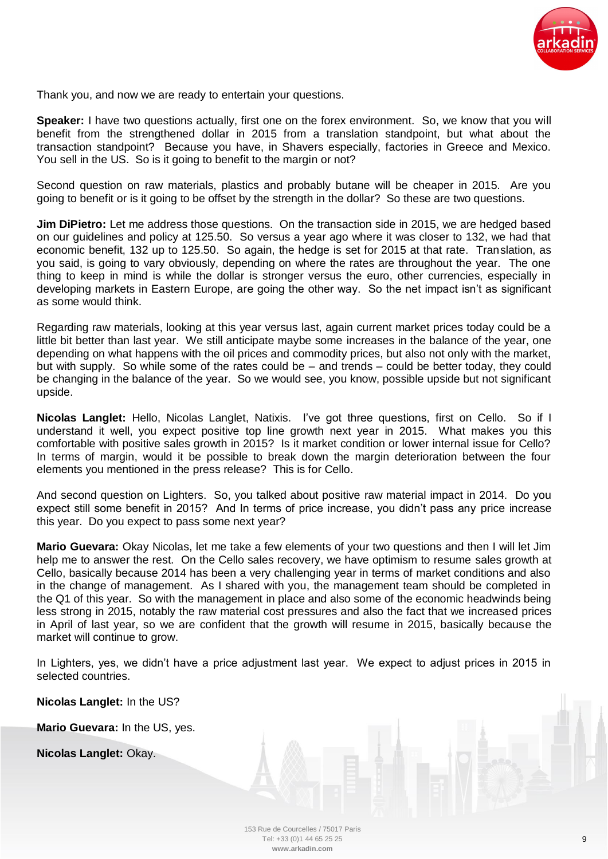

Thank you, and now we are ready to entertain your questions.

**Speaker:** I have two questions actually, first one on the forex environment. So, we know that you will benefit from the strengthened dollar in 2015 from a translation standpoint, but what about the transaction standpoint? Because you have, in Shavers especially, factories in Greece and Mexico. You sell in the US. So is it going to benefit to the margin or not?

Second question on raw materials, plastics and probably butane will be cheaper in 2015. Are you going to benefit or is it going to be offset by the strength in the dollar? So these are two questions.

**Jim DiPietro:** Let me address those questions. On the transaction side in 2015, we are hedged based on our guidelines and policy at 125.50. So versus a year ago where it was closer to 132, we had that economic benefit, 132 up to 125.50. So again, the hedge is set for 2015 at that rate. Translation, as you said, is going to vary obviously, depending on where the rates are throughout the year. The one thing to keep in mind is while the dollar is stronger versus the euro, other currencies, especially in developing markets in Eastern Europe, are going the other way. So the net impact isn't as significant as some would think.

Regarding raw materials, looking at this year versus last, again current market prices today could be a little bit better than last year. We still anticipate maybe some increases in the balance of the year, one depending on what happens with the oil prices and commodity prices, but also not only with the market, but with supply. So while some of the rates could be – and trends – could be better today, they could be changing in the balance of the year. So we would see, you know, possible upside but not significant upside.

**Nicolas Langlet:** Hello, Nicolas Langlet, Natixis. I've got three questions, first on Cello. So if I understand it well, you expect positive top line growth next year in 2015. What makes you this comfortable with positive sales growth in 2015? Is it market condition or lower internal issue for Cello? In terms of margin, would it be possible to break down the margin deterioration between the four elements you mentioned in the press release? This is for Cello.

And second question on Lighters. So, you talked about positive raw material impact in 2014. Do you expect still some benefit in 2015? And In terms of price increase, you didn't pass any price increase this year. Do you expect to pass some next year?

**Mario Guevara:** Okay Nicolas, let me take a few elements of your two questions and then I will let Jim help me to answer the rest. On the Cello sales recovery, we have optimism to resume sales growth at Cello, basically because 2014 has been a very challenging year in terms of market conditions and also in the change of management. As I shared with you, the management team should be completed in the Q1 of this year. So with the management in place and also some of the economic headwinds being less strong in 2015, notably the raw material cost pressures and also the fact that we increased prices in April of last year, so we are confident that the growth will resume in 2015, basically because the market will continue to grow.

In Lighters, yes, we didn't have a price adjustment last year. We expect to adjust prices in 2015 in selected countries.

**Nicolas Langlet:** In the US?

**Mario Guevara:** In the US, yes.

**Nicolas Langlet:** Okay.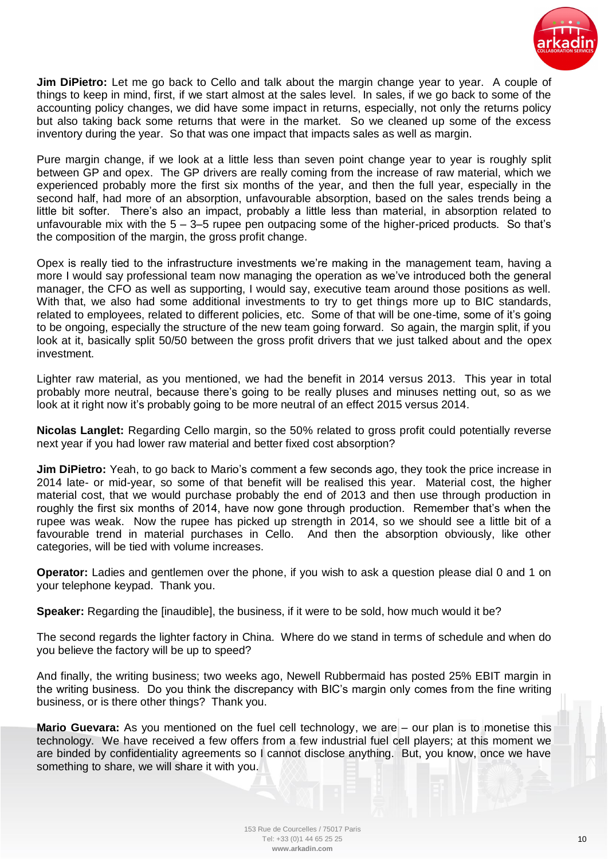

**Jim DiPietro:** Let me go back to Cello and talk about the margin change year to year. A couple of things to keep in mind, first, if we start almost at the sales level. In sales, if we go back to some of the accounting policy changes, we did have some impact in returns, especially, not only the returns policy but also taking back some returns that were in the market. So we cleaned up some of the excess inventory during the year. So that was one impact that impacts sales as well as margin.

Pure margin change, if we look at a little less than seven point change year to year is roughly split between GP and opex. The GP drivers are really coming from the increase of raw material, which we experienced probably more the first six months of the year, and then the full year, especially in the second half, had more of an absorption, unfavourable absorption, based on the sales trends being a little bit softer. There's also an impact, probably a little less than material, in absorption related to unfavourable mix with the  $5 - 3 - 5$  rupee pen outpacing some of the higher-priced products. So that's the composition of the margin, the gross profit change.

Opex is really tied to the infrastructure investments we're making in the management team, having a more I would say professional team now managing the operation as we've introduced both the general manager, the CFO as well as supporting, I would say, executive team around those positions as well. With that, we also had some additional investments to try to get things more up to BIC standards, related to employees, related to different policies, etc. Some of that will be one-time, some of it's going to be ongoing, especially the structure of the new team going forward. So again, the margin split, if you look at it, basically split 50/50 between the gross profit drivers that we just talked about and the opex investment.

Lighter raw material, as you mentioned, we had the benefit in 2014 versus 2013. This year in total probably more neutral, because there's going to be really pluses and minuses netting out, so as we look at it right now it's probably going to be more neutral of an effect 2015 versus 2014.

**Nicolas Langlet:** Regarding Cello margin, so the 50% related to gross profit could potentially reverse next year if you had lower raw material and better fixed cost absorption?

**Jim DiPietro:** Yeah, to go back to Mario's comment a few seconds ago, they took the price increase in 2014 late- or mid-year, so some of that benefit will be realised this year. Material cost, the higher material cost, that we would purchase probably the end of 2013 and then use through production in roughly the first six months of 2014, have now gone through production. Remember that's when the rupee was weak. Now the rupee has picked up strength in 2014, so we should see a little bit of a favourable trend in material purchases in Cello. And then the absorption obviously, like other categories, will be tied with volume increases.

**Operator:** Ladies and gentlemen over the phone, if you wish to ask a question please dial 0 and 1 on your telephone keypad. Thank you.

**Speaker:** Regarding the [inaudible], the business, if it were to be sold, how much would it be?

The second regards the lighter factory in China. Where do we stand in terms of schedule and when do you believe the factory will be up to speed?

And finally, the writing business; two weeks ago, Newell Rubbermaid has posted 25% EBIT margin in the writing business. Do you think the discrepancy with BIC's margin only comes from the fine writing business, or is there other things? Thank you.

**Mario Guevara:** As you mentioned on the fuel cell technology, we are – our plan is to monetise this technology. We have received a few offers from a few industrial fuel cell players; at this moment we are binded by confidentiality agreements so I cannot disclose anything. But, you know, once we have something to share, we will share it with you.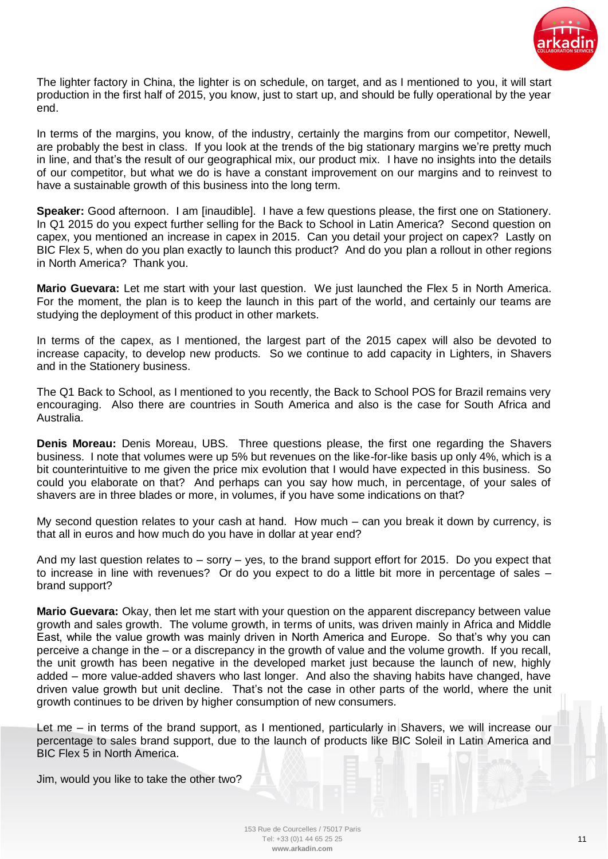

The lighter factory in China, the lighter is on schedule, on target, and as I mentioned to you, it will start production in the first half of 2015, you know, just to start up, and should be fully operational by the year end.

In terms of the margins, you know, of the industry, certainly the margins from our competitor, Newell, are probably the best in class. If you look at the trends of the big stationary margins we're pretty much in line, and that's the result of our geographical mix, our product mix. I have no insights into the details of our competitor, but what we do is have a constant improvement on our margins and to reinvest to have a sustainable growth of this business into the long term.

**Speaker:** Good afternoon. I am [inaudible]. I have a few questions please, the first one on Stationery. In Q1 2015 do you expect further selling for the Back to School in Latin America? Second question on capex, you mentioned an increase in capex in 2015. Can you detail your project on capex? Lastly on BIC Flex 5, when do you plan exactly to launch this product? And do you plan a rollout in other regions in North America? Thank you.

**Mario Guevara:** Let me start with your last question. We just launched the Flex 5 in North America. For the moment, the plan is to keep the launch in this part of the world, and certainly our teams are studying the deployment of this product in other markets.

In terms of the capex, as I mentioned, the largest part of the 2015 capex will also be devoted to increase capacity, to develop new products. So we continue to add capacity in Lighters, in Shavers and in the Stationery business.

The Q1 Back to School, as I mentioned to you recently, the Back to School POS for Brazil remains very encouraging. Also there are countries in South America and also is the case for South Africa and Australia.

**Denis Moreau:** Denis Moreau, UBS. Three questions please, the first one regarding the Shavers business. I note that volumes were up 5% but revenues on the like-for-like basis up only 4%, which is a bit counterintuitive to me given the price mix evolution that I would have expected in this business. So could you elaborate on that? And perhaps can you say how much, in percentage, of your sales of shavers are in three blades or more, in volumes, if you have some indications on that?

My second question relates to your cash at hand. How much – can you break it down by currency, is that all in euros and how much do you have in dollar at year end?

And my last question relates to  $-$  sorry  $-$  yes, to the brand support effort for 2015. Do you expect that to increase in line with revenues? Or do you expect to do a little bit more in percentage of sales – brand support?

**Mario Guevara:** Okay, then let me start with your question on the apparent discrepancy between value growth and sales growth. The volume growth, in terms of units, was driven mainly in Africa and Middle East, while the value growth was mainly driven in North America and Europe. So that's why you can perceive a change in the – or a discrepancy in the growth of value and the volume growth. If you recall, the unit growth has been negative in the developed market just because the launch of new, highly added – more value-added shavers who last longer. And also the shaving habits have changed, have driven value growth but unit decline. That's not the case in other parts of the world, where the unit growth continues to be driven by higher consumption of new consumers.

Let me – in terms of the brand support, as I mentioned, particularly in Shavers, we will increase our percentage to sales brand support, due to the launch of products like BIC Soleil in Latin America and BIC Flex 5 in North America.

Jim, would you like to take the other two?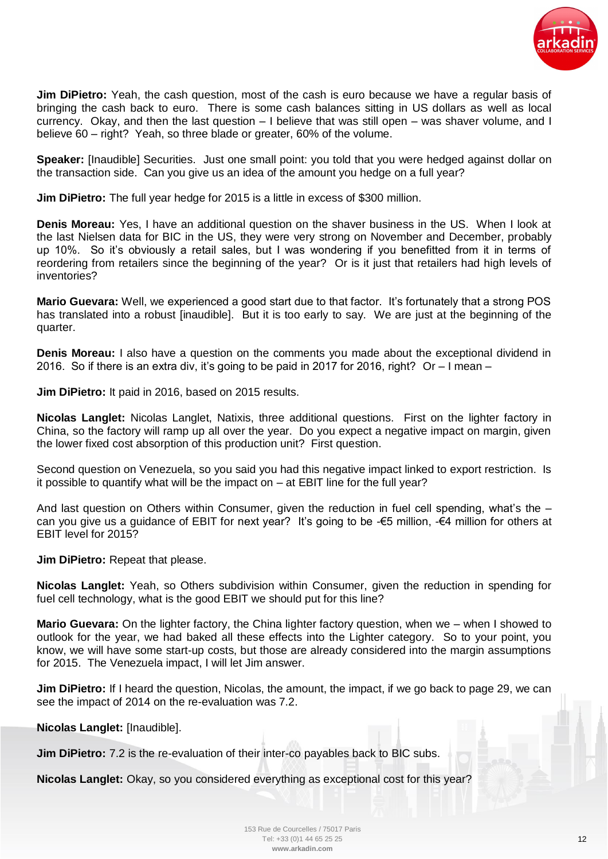

**Jim DiPietro:** Yeah, the cash question, most of the cash is euro because we have a regular basis of bringing the cash back to euro. There is some cash balances sitting in US dollars as well as local currency. Okay, and then the last question – I believe that was still open – was shaver volume, and I believe 60 – right? Yeah, so three blade or greater, 60% of the volume.

**Speaker:** [Inaudible] Securities. Just one small point: you told that you were hedged against dollar on the transaction side. Can you give us an idea of the amount you hedge on a full year?

**Jim DiPietro:** The full year hedge for 2015 is a little in excess of \$300 million.

**Denis Moreau:** Yes, I have an additional question on the shaver business in the US. When I look at the last Nielsen data for BIC in the US, they were very strong on November and December, probably up 10%. So it's obviously a retail sales, but I was wondering if you benefitted from it in terms of reordering from retailers since the beginning of the year? Or is it just that retailers had high levels of inventories?

**Mario Guevara:** Well, we experienced a good start due to that factor. It's fortunately that a strong POS has translated into a robust [inaudible]. But it is too early to say. We are just at the beginning of the quarter.

**Denis Moreau:** I also have a question on the comments you made about the exceptional dividend in 2016. So if there is an extra div, it's going to be paid in 2017 for 2016, right? Or  $-1$  mean  $-$ 

**Jim DiPietro:** It paid in 2016, based on 2015 results.

**Nicolas Langlet:** Nicolas Langlet, Natixis, three additional questions. First on the lighter factory in China, so the factory will ramp up all over the year. Do you expect a negative impact on margin, given the lower fixed cost absorption of this production unit? First question.

Second question on Venezuela, so you said you had this negative impact linked to export restriction. Is it possible to quantify what will be the impact on – at EBIT line for the full year?

And last question on Others within Consumer, given the reduction in fuel cell spending, what's the – can you give us a guidance of EBIT for next year? It's going to be  $-65$  million,  $-64$  million for others at EBIT level for 2015?

**Jim DiPietro:** Repeat that please.

**Nicolas Langlet:** Yeah, so Others subdivision within Consumer, given the reduction in spending for fuel cell technology, what is the good EBIT we should put for this line?

**Mario Guevara:** On the lighter factory, the China lighter factory question, when we – when I showed to outlook for the year, we had baked all these effects into the Lighter category. So to your point, you know, we will have some start-up costs, but those are already considered into the margin assumptions for 2015. The Venezuela impact, I will let Jim answer.

**Jim DiPietro:** If I heard the question, Nicolas, the amount, the impact, if we go back to page 29, we can see the impact of 2014 on the re-evaluation was 7.2.

**Nicolas Langlet:** [Inaudible].

**Jim DiPietro:** 7.2 is the re-evaluation of their inter-co payables back to BIC subs.

**Nicolas Langlet:** Okay, so you considered everything as exceptional cost for this year?